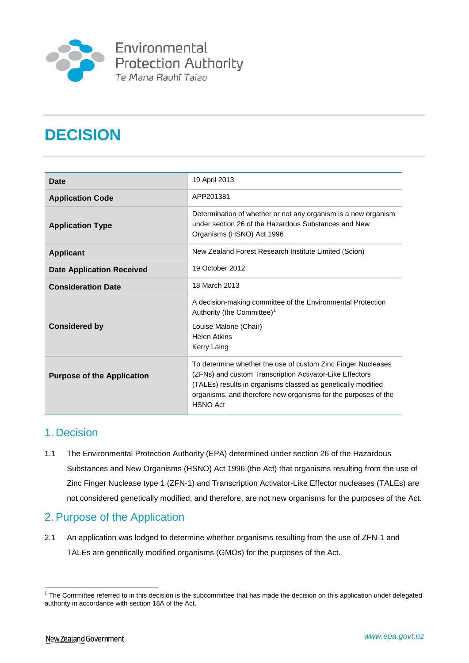

# **DECISION**

| Date                              | 19 April 2013                                                                                                                                                                                                                                                                 |
|-----------------------------------|-------------------------------------------------------------------------------------------------------------------------------------------------------------------------------------------------------------------------------------------------------------------------------|
| <b>Application Code</b>           | APP201381                                                                                                                                                                                                                                                                     |
| <b>Application Type</b>           | Determination of whether or not any organism is a new organism<br>under section 26 of the Hazardous Substances and New<br>Organisms (HSNO) Act 1996                                                                                                                           |
| <b>Applicant</b>                  | New Zealand Forest Research Institute Limited (Scion)                                                                                                                                                                                                                         |
| <b>Date Application Received</b>  | 19 October 2012                                                                                                                                                                                                                                                               |
| <b>Consideration Date</b>         | 18 March 2013                                                                                                                                                                                                                                                                 |
| <b>Considered by</b>              | A decision-making committee of the Environmental Protection<br>Authority (the Committee) <sup>1</sup><br>Louise Malone (Chair)<br><b>Helen Atkins</b><br>Kerry Laing                                                                                                          |
| <b>Purpose of the Application</b> | To determine whether the use of custom Zinc Finger Nucleases<br>(ZFNs) and custom Transcription Activator-Like Effectors<br>(TALEs) results in organisms classed as genetically modified<br>organisms, and therefore new organisms for the purposes of the<br><b>HSNO Act</b> |

#### 1. Decision

1.1 The Environmental Protection Authority (EPA) determined under section 26 of the Hazardous Substances and New Organisms (HSNO) Act 1996 (the Act) that organisms resulting from the use of Zinc Finger Nuclease type 1 (ZFN-1) and Transcription Activator-Like Effector nucleases (TALEs) are not considered genetically modified, and therefore, are not new organisms for the purposes of the Act.

### 2. Purpose of the Application

2.1 An application was lodged to determine whether organisms resulting from the use of ZFN-1 and TALEs are genetically modified organisms (GMOs) for the purposes of the Act.

<span id="page-0-0"></span><sup>&</sup>lt;sup>1</sup> The Committee referred to in this decision is the subcommittee that has made the decision on this application under delegated authority in accordance with section 18A of the Act.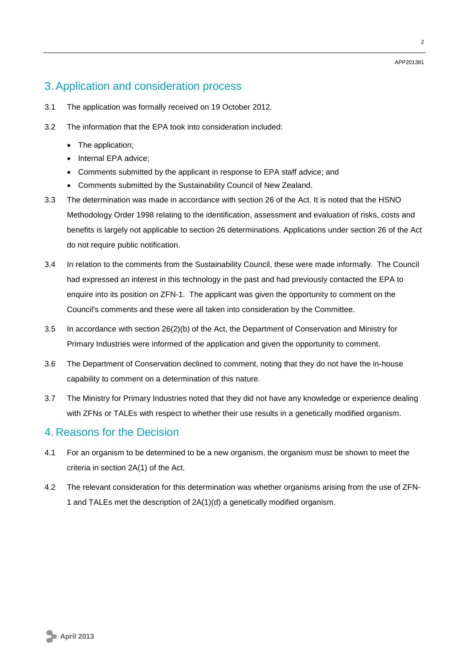## 3. Application and consideration process

- 3.1 The application was formally received on 19 October 2012.
- 3.2 The information that the EPA took into consideration included:
	- The application:
	- Internal EPA advice;
	- Comments submitted by the applicant in response to EPA staff advice; and
	- Comments submitted by the Sustainability Council of New Zealand.
- 3.3 The determination was made in accordance with section 26 of the Act. It is noted that the HSNO Methodology Order 1998 relating to the identification, assessment and evaluation of risks, costs and benefits is largely not applicable to section 26 determinations. Applications under section 26 of the Act do not require public notification.
- 3.4 In relation to the comments from the Sustainability Council, these were made informally. The Council had expressed an interest in this technology in the past and had previously contacted the EPA to enquire into its position on ZFN-1. The applicant was given the opportunity to comment on the Council's comments and these were all taken into consideration by the Committee.
- 3.5 In accordance with section 26(2)(b) of the Act, the Department of Conservation and Ministry for Primary Industries were informed of the application and given the opportunity to comment.
- 3.6 The Department of Conservation declined to comment, noting that they do not have the in-house capability to comment on a determination of this nature.
- 3.7 The Ministry for Primary Industries noted that they did not have any knowledge or experience dealing with ZFNs or TALEs with respect to whether their use results in a genetically modified organism.

### 4. Reasons for the Decision

- 4.1 For an organism to be determined to be a new organism, the organism must be shown to meet the criteria in section 2A(1) of the Act.
- 4.2 The relevant consideration for this determination was whether organisms arising from the use of ZFN-1 and TALEs met the description of 2A(1)(d) a genetically modified organism.

APP201381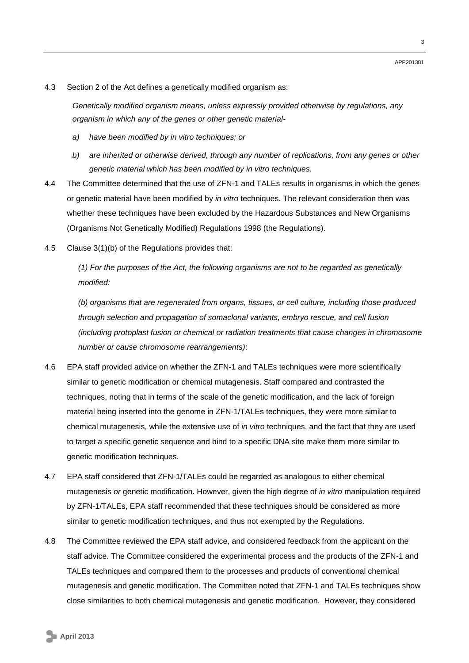4.3 Section 2 of the Act defines a genetically modified organism as:

*Genetically modified organism means, unless expressly provided otherwise by regulations, any organism in which any of the genes or other genetic material-*

- *a) have been modified by in vitro techniques; or*
- *b) are inherited or otherwise derived, through any number of replications, from any genes or other genetic material which has been modified by in vitro techniques.*
- 4.4 The Committee determined that the use of ZFN-1 and TALEs results in organisms in which the genes or genetic material have been modified by *in vitro* techniques. The relevant consideration then was whether these techniques have been excluded by the Hazardous Substances and New Organisms (Organisms Not Genetically Modified) Regulations 1998 (the Regulations).
- 4.5 Clause 3(1)(b) of the Regulations provides that:

*(1) For the purposes of the Act, the following organisms are not to be regarded as genetically modified:*

*(b) organisms that are regenerated from organs, tissues, or cell culture, including those produced through selection and propagation of somaclonal variants, embryo rescue, and cell fusion (including protoplast fusion or chemical or radiation treatments that cause changes in chromosome number or cause chromosome rearrangements)*:

- 4.6 EPA staff provided advice on whether the ZFN-1 and TALEs techniques were more scientifically similar to genetic modification or chemical mutagenesis. Staff compared and contrasted the techniques, noting that in terms of the scale of the genetic modification, and the lack of foreign material being inserted into the genome in ZFN-1/TALEs techniques, they were more similar to chemical mutagenesis, while the extensive use of *in vitro* techniques, and the fact that they are used to target a specific genetic sequence and bind to a specific DNA site make them more similar to genetic modification techniques.
- 4.7 EPA staff considered that ZFN-1/TALEs could be regarded as analogous to either chemical mutagenesis *or* genetic modification. However, given the high degree of *in vitro* manipulation required by ZFN-1/TALEs, EPA staff recommended that these techniques should be considered as more similar to genetic modification techniques, and thus not exempted by the Regulations.
- 4.8 The Committee reviewed the EPA staff advice, and considered feedback from the applicant on the staff advice. The Committee considered the experimental process and the products of the ZFN-1 and TALEs techniques and compared them to the processes and products of conventional chemical mutagenesis and genetic modification. The Committee noted that ZFN-1 and TALEs techniques show close similarities to both chemical mutagenesis and genetic modification. However, they considered